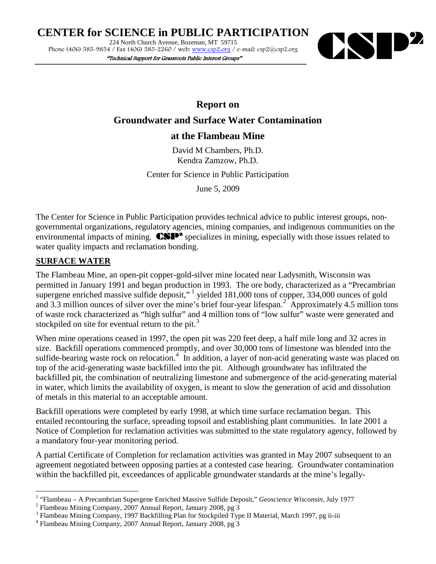CENTER for SCIENCE in PUBLIC PARTICIPATION<br>
224 North Church Avenue, Bozeman, MT 59715<br>
Phone (406) 585-9854 / Fax (406) 585-2260 / web: www.csp2.org / e-mail: csp2@csp2.org 224 North Church Avenue, Bozeman, MT 59715 Phone (406) 585-9854 / Fax (406) 585-2260 / web: [www.csp2.org](http://www.csp2.org/) / e-mail: csp2@csp2.org

"Technical Support for Grassroots Public Interest Groups"



**Report on** 

## **Groundwater and Surface Water Contamination**

## **at the Flambeau Mine**

David M Chambers, Ph.D. Kendra Zamzow, Ph.D.

Center for Science in Public Participation

June 5, 2009

The Center for Science in Public Participation provides technical advice to public interest groups, nongovernmental organizations, regulatory agencies, mining companies, and indigenous communities on the environmental impacts of mining. **CSP<sup>2</sup>** specializes in mining, especially with those issues related to water quality impacts and reclamation bonding.

### **SURFACE WATER**

 $\overline{a}$ 

The Flambeau Mine, an open-pit copper-gold-silver mine located near Ladysmith, Wisconsin was permitted in January 1991 and began production in 1993. The ore body, characterized as a "Precambrian supergene enriched massive sulfide deposit," yielded [1](#page-0-0)81,000 tons of copper, 334,000 ounces of gold and 3.3 million ounces of silver over the mine's brief four-year lifespan.<sup>[2](#page-0-1)</sup> Approximately 4.5 million tons of waste rock characterized as "high sulfur" and 4 million tons of "low sulfur" waste were generated and stockpiled on site for eventual return to the pit. $3$ 

When mine operations ceased in 1997, the open pit was 220 feet deep, a half mile long and 32 acres in size. Backfill operations commenced promptly, and over 30,000 tons of limestone was blended into the sulfide-bearing waste rock on relocation.<sup>[4](#page-0-3)</sup> In addition, a layer of non-acid generating waste was placed on top of the acid-generating waste backfilled into the pit. Although groundwater has infiltrated the backfilled pit, the combination of neutralizing limestone and submergence of the acid-generating material in water, which limits the availability of oxygen, is meant to slow the generation of acid and dissolution of metals in this material to an acceptable amount.

Backfill operations were completed by early 1998, at which time surface reclamation began. This entailed recontouring the surface, spreading topsoil and establishing plant communities. In late 2001 a Notice of Completion for reclamation activities was submitted to the state regulatory agency, followed by a mandatory four-year monitoring period.

A partial Certificate of Completion for reclamation activities was granted in May 2007 subsequent to an agreement negotiated between opposing parties at a contested case hearing.Groundwater contamination within the backfilled pit, exceedances of applicable groundwater standards at the mine's legally-

<span id="page-0-0"></span><sup>&</sup>lt;sup>1</sup> "Flambeau – A Precambrian Supergene Enriched Massive Sulfide Deposit," *Geoscience Wisconsin*, July 1977 <sup>2</sup> Flambeau Mining Company, 2007 Annual Report, January 2008, pg 3

<span id="page-0-1"></span>

<span id="page-0-2"></span><sup>&</sup>lt;sup>3</sup> Flambeau Mining Company, 1997 Backfilling Plan for Stockpiled Type II Material, March 1997, pg ii-iii  $^4$  Flambeau Mining Company, 2007 Annual Report, January 2008, pg 3

<span id="page-0-3"></span>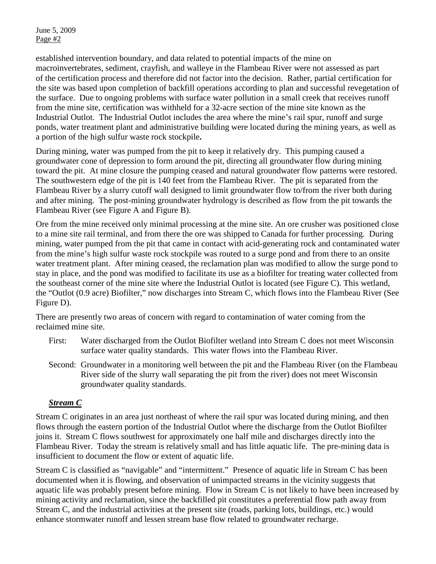established intervention boundary, and data related to potential impacts of the mine on macroinvertebrates, sediment, crayfish, and walleye in the Flambeau River were not assessed as part of the certification process and therefore did not factor into the decision. Rather, partial certification for the site was based upon completion of backfill operations according to plan and successful revegetation of the surface. Due to ongoing problems with surface water pollution in a small creek that receives runoff from the mine site, certification was withheld for a 32-acre section of the mine site known as the Industrial Outlot.The Industrial Outlot includes the area where the mine's rail spur, runoff and surge ponds, water treatment plant and administrative building were located during the mining years, as well as a portion of the high sulfur waste rock stockpile**.** 

During mining, water was pumped from the pit to keep it relatively dry. This pumping caused a groundwater cone of depression to form around the pit, directing all groundwater flow during mining toward the pit. At mine closure the pumping ceased and natural groundwater flow patterns were restored. The southwestern edge of the pit is 140 feet from the Flambeau River. The pit is separated from the Flambeau River by a slurry cutoff wall designed to limit groundwater flow to/from the river both during and after mining. The post-mining groundwater hydrology is described as flow from the pit towards the Flambeau River (see Figure A and Figure B).

Ore from the mine received only minimal processing at the mine site. An ore crusher was positioned close to a mine site rail terminal, and from there the ore was shipped to Canada for further processing. During mining, water pumped from the pit that came in contact with acid-generating rock and contaminated water from the mine's high sulfur waste rock stockpile was routed to a surge pond and from there to an onsite water treatment plant. After mining ceased, the reclamation plan was modified to allow the surge pond to stay in place, and the pond was modified to facilitate its use as a biofilter for treating water collected from the southeast corner of the mine site where the Industrial Outlot is located (see Figure C). This wetland, the "Outlot (0.9 acre) Biofilter," now discharges into Stream C, which flows into the Flambeau River (See Figure D).

There are presently two areas of concern with regard to contamination of water coming from the reclaimed mine site.

- First: Water discharged from the Outlot Biofilter wetland into Stream C does not meet Wisconsin surface water quality standards. This water flows into the Flambeau River.
- Second: Groundwater in a monitoring well between the pit and the Flambeau River (on the Flambeau River side of the slurry wall separating the pit from the river) does not meet Wisconsin groundwater quality standards.

## *Stream C*

Stream C originates in an area just northeast of where the rail spur was located during mining, and then flows through the eastern portion of the Industrial Outlot where the discharge from the Outlot Biofilter joins it. Stream C flows southwest for approximately one half mile and discharges directly into the Flambeau River. Today the stream is relatively small and has little aquatic life. The pre-mining data is insufficient to document the flow or extent of aquatic life.

Stream C is classified as "navigable" and "intermittent." Presence of aquatic life in Stream C has been documented when it is flowing, and observation of unimpacted streams in the vicinity suggests that aquatic life was probably present before mining. Flow in Stream C is not likely to have been increased by mining activity and reclamation, since the backfilled pit constitutes a preferential flow path away from Stream C, and the industrial activities at the present site (roads, parking lots, buildings, etc.) would enhance stormwater runoff and lessen stream base flow related to groundwater recharge.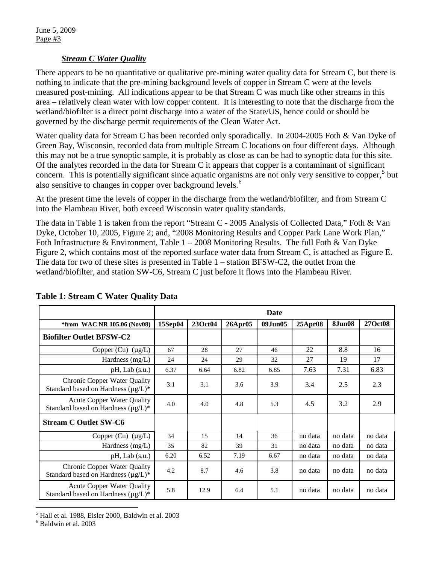#### *Stream C Water Quality*

There appears to be no quantitative or qualitative pre-mining water quality data for Stream C, but there is nothing to indicate that the pre-mining background levels of copper in Stream C were at the levels measured post-mining. All indications appear to be that Stream C was much like other streams in this area – relatively clean water with low copper content. It is interesting to note that the discharge from the wetland/biofilter is a direct point discharge into a water of the State/US, hence could or should be governed by the discharge permit requirements of the Clean Water Act.

Water quality data for Stream C has been recorded only sporadically. In 2004-2005 Foth & Van Dyke of Green Bay, Wisconsin, recorded data from multiple Stream C locations on four different days. Although this may not be a true synoptic sample, it is probably as close as can be had to synoptic data for this site. Of the analytes recorded in the data for Stream C it appears that copper is a contaminant of significant concern. This is potentially significant since aquatic organisms are not only very sensitive to copper,<sup>[5](#page-2-0)</sup> but also sensitive to changes in copper over background levels.<sup>[6](#page-2-1)</sup>

At the present time the levels of copper in the discharge from the wetland/biofilter, and from Stream C into the Flambeau River, both exceed Wisconsin water quality standards.

The data in Table 1 is taken from the report "Stream C - 2005 Analysis of Collected Data," Foth & Van Dyke, October 10, 2005, Figure 2; and, "2008 Monitoring Results and Copper Park Lane Work Plan," Foth Infrastructure & Environment, Table  $1 - 2008$  Monitoring Results. The full Foth & Van Dyke Figure 2, which contains most of the reported surface water data from Stream C, is attached as Figure E. The data for two of these sites is presented in Table 1 – station BFSW-C2, the outlet from the wetland/biofilter, and station SW-C6, Stream C just before it flows into the Flambeau River.

|                                                                                 |         |         |         | Date       |               |               |         |
|---------------------------------------------------------------------------------|---------|---------|---------|------------|---------------|---------------|---------|
| <i>*from WAC NR 105.06 (Nov08)</i>                                              | 15Sep04 | 23Oct04 | 26Apr05 | 09. Jun 05 | $25$ Apr $08$ | <b>8Jun08</b> | 27Oct08 |
| <b>Biofilter Outlet BFSW-C2</b>                                                 |         |         |         |            |               |               |         |
| Copper (Cu) $(\mu g/L)$                                                         | 67      | 28      | 27      | 46         | 22            | 8.8           | 16      |
| Hardness $(mg/L)$                                                               | 24      | 24      | 29      | 32         | 27            | 19            | 17      |
| $pH$ , Lab $(s.u.)$                                                             | 6.37    | 6.64    | 6.82    | 6.85       | 7.63          | 7.31          | 6.83    |
| <b>Chronic Copper Water Quality</b><br>Standard based on Hardness $(\mu g/L)^*$ | 3.1     | 3.1     | 3.6     | 3.9        | 3.4           | 2.5           | 2.3     |
| <b>Acute Copper Water Quality</b><br>Standard based on Hardness $(\mu g/L)^*$   | 4.0     | 4.0     | 4.8     | 5.3        | 4.5           | 3.2           | 2.9     |
| <b>Stream C Outlet SW-C6</b>                                                    |         |         |         |            |               |               |         |
| Copper (Cu) $(\mu g/L)$                                                         | 34      | 15      | 14      | 36         | no data       | no data       | no data |
| Hardness (mg/L)                                                                 | 35      | 82      | 39      | 31         | no data       | no data       | no data |
| $pH$ , Lab $(s.u.)$                                                             | 6.20    | 6.52    | 7.19    | 6.67       | no data       | no data       | no data |
| <b>Chronic Copper Water Quality</b><br>Standard based on Hardness $(\mu g/L)^*$ | 4.2     | 8.7     | 4.6     | 3.8        | no data       | no data       | no data |
| <b>Acute Copper Water Quality</b><br>Standard based on Hardness $(\mu g/L)^*$   | 5.8     | 12.9    | 6.4     | 5.1        | no data       | no data       | no data |

#### **Table 1: Stream C Water Quality Data**

 $\overline{a}$  $<sup>5</sup>$  Hall et al. 1988, Eisler 2000, Baldwin et al. 2003</sup>

<span id="page-2-1"></span><span id="page-2-0"></span><sup>6</sup> Baldwin et al. 2003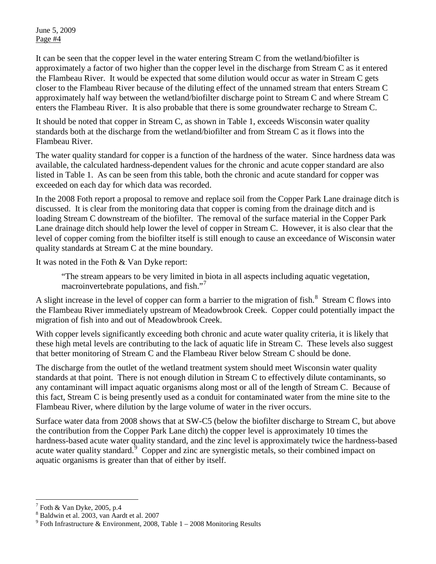It can be seen that the copper level in the water entering Stream C from the wetland/biofilter is approximately a factor of two higher than the copper level in the discharge from Stream C as it entered the Flambeau River. It would be expected that some dilution would occur as water in Stream C gets closer to the Flambeau River because of the diluting effect of the unnamed stream that enters Stream C approximately half way between the wetland/biofilter discharge point to Stream C and where Stream C enters the Flambeau River. It is also probable that there is some groundwater recharge to Stream C.

It should be noted that copper in Stream C, as shown in Table 1, exceeds Wisconsin water quality standards both at the discharge from the wetland/biofilter and from Stream C as it flows into the Flambeau River.

The water quality standard for copper is a function of the hardness of the water. Since hardness data was available, the calculated hardness-dependent values for the chronic and acute copper standard are also listed in Table 1. As can be seen from this table, both the chronic and acute standard for copper was exceeded on each day for which data was recorded.

In the 2008 Foth report a proposal to remove and replace soil from the Copper Park Lane drainage ditch is discussed. It is clear from the monitoring data that copper is coming from the drainage ditch and is loading Stream C downstream of the biofilter. The removal of the surface material in the Copper Park Lane drainage ditch should help lower the level of copper in Stream C. However, it is also clear that the level of copper coming from the biofilter itself is still enough to cause an exceedance of Wisconsin water quality standards at Stream C at the mine boundary.

It was noted in the Foth & Van Dyke report:

"The stream appears to be very limited in biota in all aspects including aquatic vegetation, macroinvertebrate populations, and fish."<sup>[7](#page-3-0)</sup>

A slight increase in the level of copper can form a barrier to the migration of fish.<sup>[8](#page-3-1)</sup> Stream C flows into the Flambeau River immediately upstream of Meadowbrook Creek. Copper could potentially impact the migration of fish into and out of Meadowbrook Creek.

With copper levels significantly exceeding both chronic and acute water quality criteria, it is likely that these high metal levels are contributing to the lack of aquatic life in Stream C. These levels also suggest that better monitoring of Stream C and the Flambeau River below Stream C should be done.

The discharge from the outlet of the wetland treatment system should meet Wisconsin water quality standards at that point. There is not enough dilution in Stream C to effectively dilute contaminants, so any contaminant will impact aquatic organisms along most or all of the length of Stream C. Because of this fact, Stream C is being presently used as a conduit for contaminated water from the mine site to the Flambeau River, where dilution by the large volume of water in the river occurs.

Surface water data from 2008 shows that at SW-C5 (below the biofilter discharge to Stream C, but above the contribution from the Copper Park Lane ditch) the copper level is approximately 10 times the hardness-based acute water quality standard, and the zinc level is approximately twice the hardness-based acute water quality standard.<sup>[9](#page-3-2)</sup> Copper and zinc are synergistic metals, so their combined impact on aquatic organisms is greater than that of either by itself.

 $\overline{a}$  $^7$  Foth & Van Dyke, 2005, p.4

<span id="page-3-2"></span><span id="page-3-1"></span><span id="page-3-0"></span><sup>&</sup>lt;sup>8</sup> Baldwin et al. 2003, van Aardt et al. 2007<br><sup>9</sup> Foth Infrastructure & Environment, 2008, Table 1 – 2008 Monitoring Results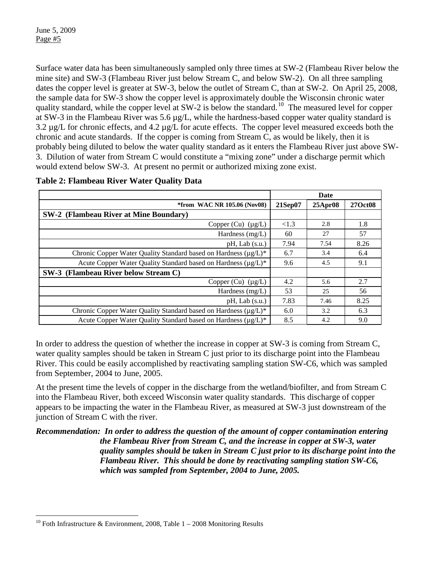Surface water data has been simultaneously sampled only three times at SW-2 (Flambeau River below the mine site) and SW-3 (Flambeau River just below Stream C, and below SW-2). On all three sampling dates the copper level is greater at SW-3, below the outlet of Stream C, than at SW-2. On April 25, 2008, the sample data for SW-3 show the copper level is approximately double the Wisconsin chronic water quality standard, while the copper level at SW-2 is below the standard.<sup>10</sup> The measured level for copper at SW-3 in the Flambeau River was 5.6 µg/L, while the hardness-based copper water quality standard is 3.2 µg/L for chronic effects, and 4.2 µg/L for acute effects. The copper level measured exceeds both the chronic and acute standards. If the copper is coming from Stream C, as would be likely, then it is probably being diluted to below the water quality standard as it enters the Flambeau River just above SW-3. Dilution of water from Stream C would constitute a "mixing zone" under a discharge permit which would extend below SW-3. At present no permit or authorized mixing zone exist.

|                                                                 |          | <b>Date</b>   |         |
|-----------------------------------------------------------------|----------|---------------|---------|
| <i>*from WAC NR 105.06 (Nov08)</i>                              | 21Sep07  | $25$ Apr $08$ | 27Oct08 |
| <b>SW-2</b> (Flambeau River at Mine Boundary)                   |          |               |         |
| Copper $(Cu)$ ( $\mu$ g/L)                                      | ${<}1.3$ | 2.8           | 1.8     |
| Hardness $(mg/L)$                                               | 60       | 27            | 57      |
| $pH$ , Lab $(s.u.)$                                             | 7.94     | 7.54          | 8.26    |
| Chronic Copper Water Quality Standard based on Hardness (µg/L)* | 6.7      | 3.4           | 6.4     |
| Acute Copper Water Quality Standard based on Hardness (µg/L)*   | 9.6      | 4.5           | 9.1     |
| SW-3 (Flambeau River below Stream C)                            |          |               |         |
| Copper $(Cu)$ ( $\mu$ g/L)                                      | 4.2      | 5.6           | 2.7     |
| Hardness $(mg/L)$                                               | 53       | 25            | 56      |
| $pH$ , Lab $(s.u.)$                                             | 7.83     | 7.46          | 8.25    |
| Chronic Copper Water Quality Standard based on Hardness (µg/L)* | 6.0      | 3.2           | 6.3     |
| Acute Copper Water Quality Standard based on Hardness (µg/L)*   | 8.5      | 4.2           | 9.0     |

#### **Table 2: Flambeau River Water Quality Data**

In order to address the question of whether the increase in copper at SW-3 is coming from Stream C, water quality samples should be taken in Stream C just prior to its discharge point into the Flambeau River. This could be easily accomplished by reactivating sampling station SW-C6, which was sampled from September, 2004 to June, 2005.

At the present time the levels of copper in the discharge from the wetland/biofilter, and from Stream C into the Flambeau River, both exceed Wisconsin water quality standards. This discharge of copper appears to be impacting the water in the Flambeau River, as measured at SW-3 just downstream of the junction of Stream C with the river.

*Recommendation: In order to address the question of the amount of copper contamination entering the Flambeau River from Stream C, and the increase in copper at SW-3, water quality samples should be taken in Stream C just prior to its discharge point into the Flambeau River. This should be done by reactivating sampling station SW-C6, which was sampled from September, 2004 to June, 2005.* 

<span id="page-4-0"></span> $\overline{a}$ <sup>10</sup> Foth Infrastructure & Environment, 2008, Table  $1 - 2008$  Monitoring Results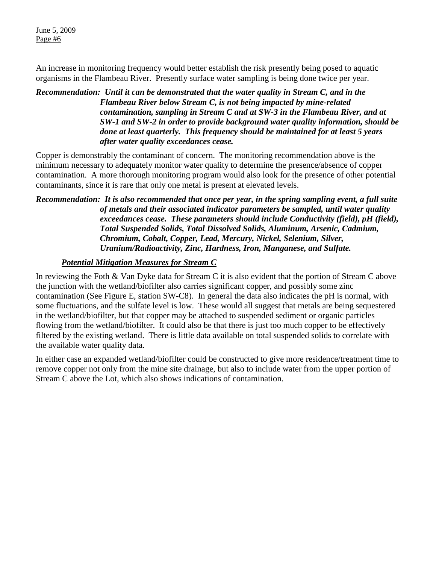An increase in monitoring frequency would better establish the risk presently being posed to aquatic organisms in the Flambeau River. Presently surface water sampling is being done twice per year.

#### *Recommendation: Until it can be demonstrated that the water quality in Stream C, and in the Flambeau River below Stream C, is not being impacted by mine-related contamination, sampling in Stream C and at SW-3 in the Flambeau River, and at SW-1 and SW-2 in order to provide background water quality information, should be done at least quarterly. This frequency should be maintained for at least 5 years after water quality exceedances cease.*

Copper is demonstrably the contaminant of concern. The monitoring recommendation above is the minimum necessary to adequately monitor water quality to determine the presence/absence of copper contamination. A more thorough monitoring program would also look for the presence of other potential contaminants, since it is rare that only one metal is present at elevated levels.

*Recommendation: It is also recommended that once per year, in the spring sampling event, a full suite of metals and their associated indicator parameters be sampled, until water quality exceedances cease. These parameters should include Conductivity (field), pH (field), Total Suspended Solids, Total Dissolved Solids, Aluminum, Arsenic, Cadmium, Chromium, Cobalt, Copper, Lead, Mercury, Nickel, Selenium, Silver, Uranium/Radioactivity, Zinc, Hardness, Iron, Manganese, and Sulfate.* 

#### *Potential Mitigation Measures for Stream C*

In reviewing the Foth & Van Dyke data for Stream C it is also evident that the portion of Stream C above the junction with the wetland/biofilter also carries significant copper, and possibly some zinc contamination (See Figure E, station SW-C8). In general the data also indicates the pH is normal, with some fluctuations, and the sulfate level is low. These would all suggest that metals are being sequestered in the wetland/biofilter, but that copper may be attached to suspended sediment or organic particles flowing from the wetland/biofilter. It could also be that there is just too much copper to be effectively filtered by the existing wetland. There is little data available on total suspended solids to correlate with the available water quality data.

In either case an expanded wetland/biofilter could be constructed to give more residence/treatment time to remove copper not only from the mine site drainage, but also to include water from the upper portion of Stream C above the Lot, which also shows indications of contamination.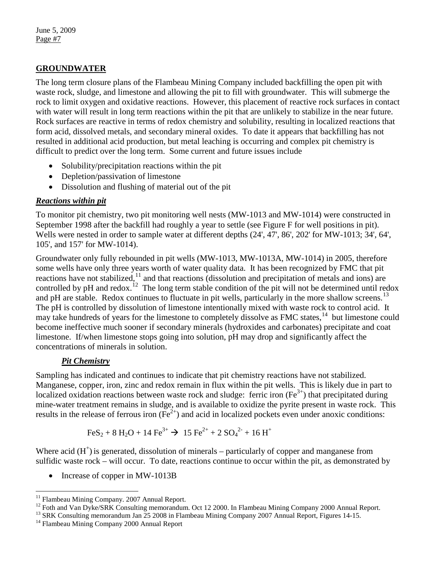## **GROUNDWATER**

The long term closure plans of the Flambeau Mining Company included backfilling the open pit with waste rock, sludge, and limestone and allowing the pit to fill with groundwater. This will submerge the rock to limit oxygen and oxidative reactions. However, this placement of reactive rock surfaces in contact with water will result in long term reactions within the pit that are unlikely to stabilize in the near future. Rock surfaces are reactive in terms of redox chemistry and solubility, resulting in localized reactions that form acid, dissolved metals, and secondary mineral oxides. To date it appears that backfilling has not resulted in additional acid production, but metal leaching is occurring and complex pit chemistry is difficult to predict over the long term. Some current and future issues include

- Solubility/precipitation reactions within the pit
- Depletion/passivation of limestone
- Dissolution and flushing of material out of the pit

#### *Reactions within pit*

To monitor pit chemistry, two pit monitoring well nests (MW-1013 and MW-1014) were constructed in September 1998 after the backfill had roughly a year to settle (see Figure F for well positions in pit). Wells were nested in order to sample water at different depths (24', 47', 86', 202' for MW-1013; 34', 64', 105', and 157' for MW-1014).

Groundwater only fully rebounded in pit wells (MW-1013, MW-1013A, MW-1014) in 2005, therefore some wells have only three years worth of water quality data. It has been recognized by FMC that pit reactions have not stabilized,<sup>[11](#page-6-0)</sup> and that reactions (dissolution and precipitation of metals and ions) are controlled by pH and redox.<sup>[12](#page-6-1)</sup> The long term stable condition of the pit will not be determined until redox and pH are stable. Redox continues to fluctuate in pit wells, particularly in the more shallow screens.<sup>[13](#page-6-2)</sup> The pH is controlled by dissolution of limestone intentionally mixed with waste rock to control acid. It may take hundreds of years for the limestone to completely dissolve as FMC states,<sup>[14](#page-6-3)</sup> but limestone could become ineffective much sooner if secondary minerals (hydroxides and carbonates) precipitate and coat limestone. If/when limestone stops going into solution, pH may drop and significantly affect the concentrations of minerals in solution.

## *Pit Chemistry*

Sampling has indicated and continues to indicate that pit chemistry reactions have not stabilized. Manganese, copper, iron, zinc and redox remain in flux within the pit wells. This is likely due in part to localized oxidation reactions between waste rock and sludge: ferric iron  $(Fe^{3+})$  that precipitated during mine-water treatment remains in sludge, and is available to oxidize the pyrite present in waste rock. This results in the release of ferrous iron  $(Fe^{2+})$  and acid in localized pockets even under anoxic conditions:

$$
\text{FeS}_2 + 8 \text{ H}_2\text{O} + 14 \text{ Fe}^{3+} \rightarrow 15 \text{ Fe}^{2+} + 2 \text{ SO}_4^{2-} + 16 \text{ H}^+
$$

Where acid  $(H<sup>+</sup>)$  is generated, dissolution of minerals – particularly of copper and manganese from sulfidic waste rock – will occur. To date, reactions continue to occur within the pit, as demonstrated by

• Increase of copper in MW-1013B

<span id="page-6-1"></span><span id="page-6-0"></span><sup>11</sup> Flambeau Mining Company. 2007 Annual Report.<br><sup>12</sup> Foth and Van Dyke/SRK Consulting memorandum. Oct 12 2000. In Flambeau Mining Company 2000 Annual Report.<br><sup>13</sup> SRK Consulting memorandum Jan 25 2008 in Flambeau Mining

<span id="page-6-2"></span>

 $11$ 

<span id="page-6-3"></span>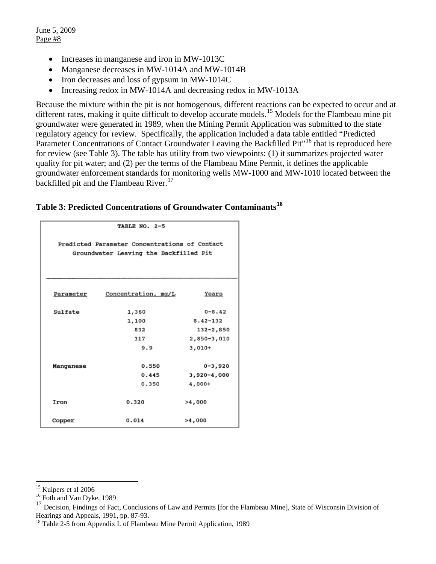- Increases in manganese and iron in MW-1013C
- Manganese decreases in MW-1014A and MW-1014B
- Iron decreases and loss of gypsum in MW-1014C
- Increasing redox in MW-1014A and decreasing redox in MW-1013A

Because the mixture within the pit is not homogenous, different reactions can be expected to occur and at different rates, making it quite difficult to develop accurate models.<sup>[15](#page-7-0)</sup> Models for the Flambeau mine pit groundwater were generated in 1989, when the Mining Permit Application was submitted to the state regulatory agency for review. Specifically, the application included a data table entitled "Predicted Parameter Concentrations of Contact Groundwater Leaving the Backfilled Pit<sup>"16</sup> that is reproduced here for review (see Table 3). The table has utility from two viewpoints: (1) it summarizes projected water quality for pit water; and (2) per the terms of the Flambeau Mine Permit, it defines the applicable groundwater enforcement standards for monitoring wells MW-1000 and MW-1010 located between the backfilled pit and the Flambeau River.<sup>[17](#page-7-2)</sup>

| Table 3: Predicted Concentrations of Groundwater Contaminants <sup>18</sup> |  |  |
|-----------------------------------------------------------------------------|--|--|
|-----------------------------------------------------------------------------|--|--|

|           | TABLE NO. 2-5                                 |                 |  |  |  |  |  |  |
|-----------|-----------------------------------------------|-----------------|--|--|--|--|--|--|
|           |                                               |                 |  |  |  |  |  |  |
|           | Predicted Parameter Concentrations of Contact |                 |  |  |  |  |  |  |
|           | Groundwater Leaving the Backfilled Pit        |                 |  |  |  |  |  |  |
|           |                                               |                 |  |  |  |  |  |  |
|           |                                               |                 |  |  |  |  |  |  |
|           |                                               |                 |  |  |  |  |  |  |
| Parameter | Concentration, mq/L                           | Years           |  |  |  |  |  |  |
|           |                                               |                 |  |  |  |  |  |  |
| Sulfate   | 1,360                                         | $0 - 8.42$      |  |  |  |  |  |  |
|           | 1,100                                         | $8.42 - 132$    |  |  |  |  |  |  |
|           | 832                                           | $132 - 2,850$   |  |  |  |  |  |  |
|           | 317                                           | 2,850-3,010     |  |  |  |  |  |  |
|           | 9.9                                           | $3,010+$        |  |  |  |  |  |  |
|           |                                               |                 |  |  |  |  |  |  |
| Manganese | 0.550                                         | $0 - 3,920$     |  |  |  |  |  |  |
|           | 0.445                                         | $3,920 - 4,000$ |  |  |  |  |  |  |
|           | 0.350                                         | 4,000+          |  |  |  |  |  |  |
|           |                                               |                 |  |  |  |  |  |  |
| Iron      | 0.320                                         | >4,000          |  |  |  |  |  |  |
|           |                                               |                 |  |  |  |  |  |  |
| Copper    | 0.014                                         | >4,000          |  |  |  |  |  |  |

<span id="page-7-0"></span><sup>&</sup>lt;sup>15</sup> Kuipers et al 2006

<span id="page-7-1"></span> $16$  Foth and Van Dyke, 1989

<span id="page-7-2"></span> $17$  Decision, Findings of Fact, Conclusions of Law and Permits [for the Flambeau Mine], State of Wisconsin Division of Hearings and Appeals, 1991, pp. 87-93.

<span id="page-7-3"></span><sup>&</sup>lt;sup>18</sup> Table 2-5 from Appendix L of Flambeau Mine Permit Application, 1989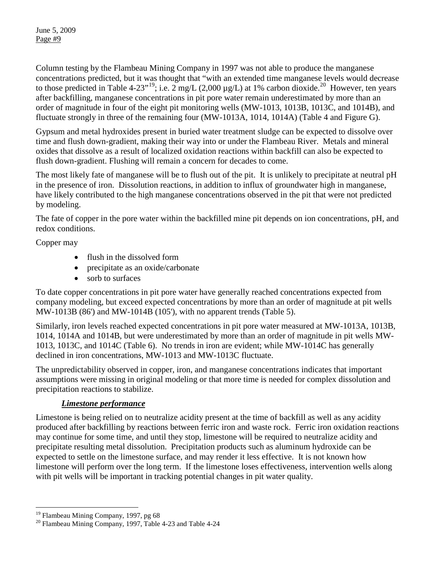Column testing by the Flambeau Mining Company in 1997 was not able to produce the manganese concentrations predicted, but it was thought that "with an extended time manganese levels would decrease to those predicted in Table 4-23"<sup>[19](#page-8-0)</sup>; i.e.  $2 \text{ mg/L}$  (2,000  $\mu$ g/L) at 1% carbon dioxide.<sup>[20](#page-8-1)</sup> However, ten years after backfilling, manganese concentrations in pit pore water remain underestimated by more than an order of magnitude in four of the eight pit monitoring wells (MW-1013, 1013B, 1013C, and 1014B), and fluctuate strongly in three of the remaining four (MW-1013A, 1014, 1014A) (Table 4 and Figure G).

Gypsum and metal hydroxides present in buried water treatment sludge can be expected to dissolve over time and flush down-gradient, making their way into or under the Flambeau River. Metals and mineral oxides that dissolve as a result of localized oxidation reactions within backfill can also be expected to flush down-gradient. Flushing will remain a concern for decades to come.

The most likely fate of manganese will be to flush out of the pit. It is unlikely to precipitate at neutral pH in the presence of iron. Dissolution reactions, in addition to influx of groundwater high in manganese, have likely contributed to the high manganese concentrations observed in the pit that were not predicted by modeling.

The fate of copper in the pore water within the backfilled mine pit depends on ion concentrations, pH, and redox conditions.

Copper may

- flush in the dissolved form
- precipitate as an oxide/carbonate
- sorb to surfaces

To date copper concentrations in pit pore water have generally reached concentrations expected from company modeling, but exceed expected concentrations by more than an order of magnitude at pit wells MW-1013B (86') and MW-1014B (105'), with no apparent trends (Table 5).

Similarly, iron levels reached expected concentrations in pit pore water measured at MW-1013A, 1013B, 1014, 1014A and 1014B, but were underestimated by more than an order of magnitude in pit wells MW-1013, 1013C, and 1014C (Table 6). No trends in iron are evident; while MW-1014C has generally declined in iron concentrations, MW-1013 and MW-1013C fluctuate.

The unpredictability observed in copper, iron, and manganese concentrations indicates that important assumptions were missing in original modeling or that more time is needed for complex dissolution and precipitation reactions to stabilize.

## *Limestone performance*

Limestone is being relied on to neutralize acidity present at the time of backfill as well as any acidity produced after backfilling by reactions between ferric iron and waste rock. Ferric iron oxidation reactions may continue for some time, and until they stop, limestone will be required to neutralize acidity and precipitate resulting metal dissolution. Precipitation products such as aluminum hydroxide can be expected to settle on the limestone surface, and may render it less effective. It is not known how limestone will perform over the long term. If the limestone loses effectiveness, intervention wells along with pit wells will be important in tracking potential changes in pit water quality.

<span id="page-8-0"></span><sup>&</sup>lt;sup>19</sup> Flambeau Mining Company, 1997, pg 68

<span id="page-8-1"></span> $10^{20}$  Flambeau Mining Company, 1997, Table 4-23 and Table 4-24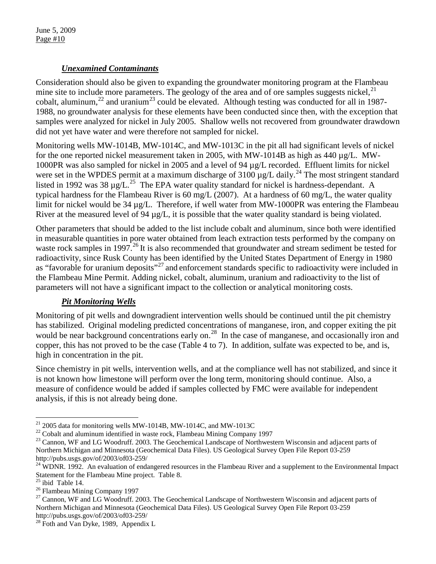### *Unexamined Contaminants*

Consideration should also be given to expanding the groundwater monitoring program at the Flambeau mine site to include more parameters. The geology of the area and of ore samples suggests nickel,  $21$ cobalt, aluminum,<sup>[22](#page-9-1)</sup> and uranium<sup>[23](#page-9-2)</sup> could be elevated. Although testing was conducted for all in 1987-1988, no groundwater analysis for these elements have been conducted since then, with the exception that samples were analyzed for nickel in July 2005. Shallow wells not recovered from groundwater drawdown did not yet have water and were therefore not sampled for nickel.

Monitoring wells MW-1014B, MW-1014C, and MW-1013C in the pit all had significant levels of nickel for the one reported nickel measurement taken in 2005, with  $MW-1014B$  as high as 440  $\mu$ g/L. MW-1000PR was also sampled for nickel in 2005 and a level of 94 µg/L recorded. Effluent limits for nickel were set in the WPDES permit at a maximum discharge of  $3100 \mu g/L$  daily.<sup>[24](#page-9-3)</sup> The most stringent standard listed in 1992 was 38  $\mu$ g/L.<sup>[25](#page-9-4)</sup> The EPA water quality standard for nickel is hardness-dependant. A typical hardness for the Flambeau River is 60 mg/L (2007). At a hardness of 60 mg/L, the water quality limit for nickel would be 34 µg/L. Therefore, if well water from MW-1000PR was entering the Flambeau River at the measured level of 94  $\mu$ g/L, it is possible that the water quality standard is being violated.

Other parameters that should be added to the list include cobalt and aluminum, since both were identified in measurable quantities in pore water obtained from leach extraction tests performed by the company on waste rock samples in 1997.<sup>[26](#page-9-5)</sup> It is also recommended that groundwater and stream sediment be tested for radioactivity, since Rusk County has been identified by the United States Department of Energy in 1980 as "favorable for uranium deposits"<sup>[27](#page-9-6)</sup> and enforcement standards specific to radioactivity were included in the Flambeau Mine Permit. Adding nickel, cobalt, aluminum, uranium and radioactivity to the list of parameters will not have a significant impact to the collection or analytical monitoring costs.

## *Pit Monitoring Wells*

Monitoring of pit wells and downgradient intervention wells should be continued until the pit chemistry has stabilized. Original modeling predicted concentrations of manganese, iron, and copper exiting the pit would be near background concentrations early on.<sup>[28](#page-9-7)</sup> In the case of manganese, and occasionally iron and copper, this has not proved to be the case (Table 4 to 7). In addition, sulfate was expected to be, and is, high in concentration in the pit.

Since chemistry in pit wells, intervention wells, and at the compliance well has not stabilized, and since it is not known how limestone will perform over the long term, monitoring should continue. Also, a measure of confidence would be added if samples collected by FMC were available for independent analysis, if this is not already being done.

<span id="page-9-0"></span> $^{21}$  2005 data for monitoring wells MW-1014B, MW-1014C, and MW-1013C

<span id="page-9-2"></span><span id="page-9-1"></span> $^{22}$  Cobalt and aluminum identified in waste rock, Flambeau Mining Company 1997<br> $^{23}$  Cannon, WF and LG Woodruff. 2003. The Geochemical Landscape of Northwestern Wisconsin and adjacent parts of Northern Michigan and Minnesota (Geochemical Data Files). US Geological Survey Open File Report 03-259

<span id="page-9-3"></span>http://pubs.usgs.gov/of/2003/of03-259/<br><sup>24</sup> WDNR. 1992. An evaluation of endangered resources in the Flambeau River and a supplement to the Environmental Impact Statement for the Flambeau Mine project. Table 8.<br><sup>25</sup> ibid Table 14.

<span id="page-9-4"></span>

<span id="page-9-6"></span><span id="page-9-5"></span><sup>&</sup>lt;sup>26</sup> Flambeau Mining Company 1997<br><sup>27</sup> Cannon, WF and LG Woodruff. 2003. The Geochemical Landscape of Northwestern Wisconsin and adjacent parts of Northern Michigan and Minnesota (Geochemical Data Files). US Geological Survey Open File Report 03-259 http://pubs.usgs.gov/of/2003/of03-259/<br><sup>28</sup> Foth and Van Dyke, 1989, Appendix L

<span id="page-9-7"></span>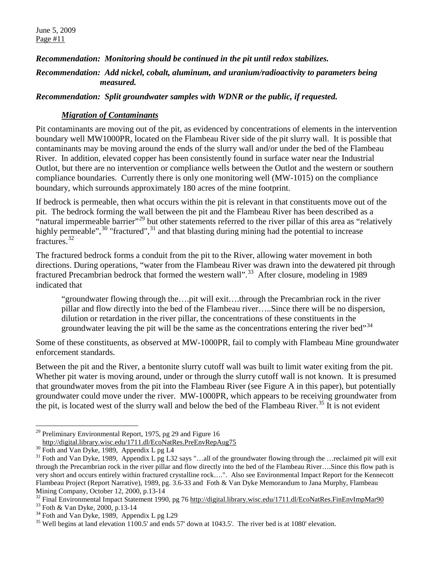*Recommendation: Monitoring should be continued in the pit until redox stabilizes.*

#### *Recommendation: Add nickel, cobalt, aluminum, and uranium/radioactivity to parameters being measured.*

*Recommendation: Split groundwater samples with WDNR or the public, if requested.* 

### *Migration of Contaminants*

Pit contaminants are moving out of the pit, as evidenced by concentrations of elements in the intervention boundary well MW1000PR, located on the Flambeau River side of the pit slurry wall. It is possible that contaminants may be moving around the ends of the slurry wall and/or under the bed of the Flambeau River. In addition, elevated copper has been consistently found in surface water near the Industrial Outlot, but there are no intervention or compliance wells between the Outlot and the western or southern compliance boundaries. Currently there is only one monitoring well (MW-1015) on the compliance boundary, which surrounds approximately 180 acres of the mine footprint.

If bedrock is permeable, then what occurs within the pit is relevant in that constituents move out of the pit. The bedrock forming the wall between the pit and the Flambeau River has been described as a "natural impermeable barrier"<sup>[29](#page-10-0)</sup> but other statements referred to the river pillar of this area as "relatively highly permeable",  $30$  "fractured",  $31$  and that blasting during mining had the potential to increase fractures.<sup>[32](#page-10-3)</sup>

The fractured bedrock forms a conduit from the pit to the River, allowing water movement in both directions. During operations, "water from the Flambeau River was drawn into the dewatered pit through fractured Precambrian bedrock that formed the western wall".<sup>[33](#page-10-4)</sup> After closure, modeling in 1989 indicated that

"groundwater flowing through the….pit will exit….through the Precambrian rock in the river pillar and flow directly into the bed of the Flambeau river…..Since there will be no dispersion, dilution or retardation in the river pillar, the concentrations of these constituents in the groundwater leaving the pit will be the same as the concentrations entering the river bed<sup> $34$ </sup>

Some of these constituents, as observed at MW-1000PR, fail to comply with Flambeau Mine groundwater enforcement standards.

Between the pit and the River, a bentonite slurry cutoff wall was built to limit water exiting from the pit. Whether pit water is moving around, under or through the slurry cutoff wall is not known. It is presumed that groundwater moves from the pit into the Flambeau River (see Figure A in this paper), but potentially groundwater could move under the river. MW-1000PR, which appears to be receiving groundwater from the pit, is located west of the slurry wall and below the bed of the Flambeau River.<sup>[35](#page-10-6)</sup> It is not evident

<span id="page-10-0"></span> $\overline{a}$ <sup>29</sup> Preliminary Environmental Report, 1975, pg 29 and Figure 16<br>http://digital.library.wisc.edu/1711.dl/EcoNatRes.PreEnvRepAug75

<span id="page-10-2"></span><span id="page-10-1"></span> $\frac{100 \text{ Hup} / \text{mghain/1014} \cdot \text{mghain/1014} \cdot \text{mghain/1014} \cdot \text{mghain/1014} \cdot \text{mghain/1014} \cdot \text{mghain/1014} \cdot \text{mghain/1014} \cdot \text{mghain/1014} \cdot \text{mghain/1014} \cdot \text{mghain/1014} \cdot \text{mghain/1014} \cdot \text{mghain/1014} \cdot \text{mghain/1014} \cdot \text{mghain/1014} \cdot \text{mghain/1014$ through the Precambrian rock in the river pillar and flow directly into the bed of the Flambeau River….Since this flow path is very short and occurs entirely within fractured crystalline rock….". Also see Environmental Impact Report for the Kennecott Flambeau Project (Report Narrative), 1989, pg. 3.6-33 and Foth & Van Dyke Memorandum to Jana Murphy, Flambeau

<span id="page-10-3"></span>Mining Company, October 12, 2000, p.13-14<br><sup>32</sup> Final Environmental Impact Statement 1990, pg 76<http://digital.library.wisc.edu/1711.dl/EcoNatRes.FinEnvImpMar90><br><sup>33</sup> Foth & Van Dyke, 2000, p.13-14<br><sup>34</sup> Foth and Van Dyke, 1

<span id="page-10-4"></span>

<span id="page-10-5"></span>

<span id="page-10-6"></span>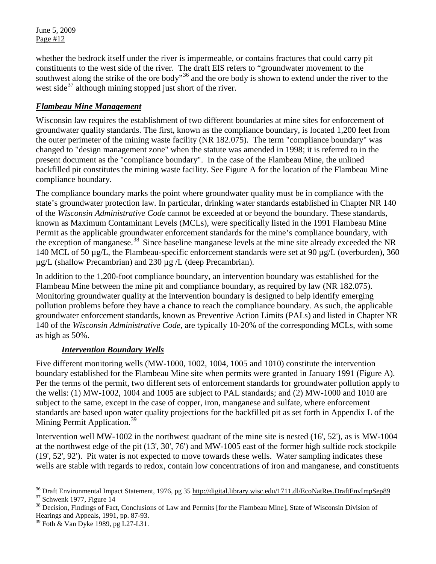whether the bedrock itself under the river is impermeable, or contains fractures that could carry pit constituents to the west side of the river. The draft EIS refers to "groundwater movement to the southwest along the strike of the ore body"<sup>[36](#page-11-0)</sup> and the ore body is shown to extend under the river to the west side<sup>[37](#page-11-1)</sup> although mining stopped just short of the river.

### *Flambeau Mine Management*

Wisconsin law requires the establishment of two different boundaries at mine sites for enforcement of groundwater quality standards. The first, known as the compliance boundary, is located 1,200 feet from the outer perimeter of the mining waste facility (NR 182.075). The term "compliance boundary" was changed to "design management zone" when the statute was amended in 1998; it is referred to in the present document as the "compliance boundary". In the case of the Flambeau Mine, the unlined backfilled pit constitutes the mining waste facility. See Figure A for the location of the Flambeau Mine compliance boundary.

The compliance boundary marks the point where groundwater quality must be in compliance with the state's groundwater protection law. In particular, drinking water standards established in Chapter NR 140 of the *Wisconsin Administrative Code* cannot be exceeded at or beyond the boundary. These standards, known as Maximum Contaminant Levels (MCLs), were specifically listed in the 1991 Flambeau Mine Permit as the applicable groundwater enforcement standards for the mine's compliance boundary, with the exception of manganese. [38](#page-11-2) Since baseline manganese levels at the mine site already exceeded the NR 140 MCL of 50 µg/L, the Flambeau-specific enforcement standards were set at 90 µg/L (overburden), 360  $\mu$ g/L (shallow Precambrian) and 230  $\mu$ g /L (deep Precambrian).

In addition to the 1,200-foot compliance boundary, an intervention boundary was established for the Flambeau Mine between the mine pit and compliance boundary, as required by law (NR 182.075). Monitoring groundwater quality at the intervention boundary is designed to help identify emerging pollution problems before they have a chance to reach the compliance boundary. As such, the applicable groundwater enforcement standards, known as Preventive Action Limits (PALs) and listed in Chapter NR 140 of the *Wisconsin Administrative Code*, are typically 10-20% of the corresponding MCLs, with some as high as 50%.

#### *Intervention Boundary Wells*

Five different monitoring wells (MW-1000, 1002, 1004, 1005 and 1010) constitute the intervention boundary established for the Flambeau Mine site when permits were granted in January 1991 (Figure A). Per the terms of the permit, two different sets of enforcement standards for groundwater pollution apply to the wells: (1) MW-1002, 1004 and 1005 are subject to PAL standards; and (2) MW-1000 and 1010 are subject to the same, except in the case of copper, iron, manganese and sulfate, where enforcement standards are based upon water quality projections for the backfilled pit as set forth in Appendix L of the Mining Permit Application.<sup>[39](#page-11-3)</sup>

Intervention well MW-1002 in the northwest quadrant of the mine site is nested (16', 52'), as is MW-1004 at the northwest edge of the pit (13', 30', 76') and MW-1005 east of the former high sulfide rock stockpile (19', 52', 92'). Pit water is not expected to move towards these wells. Water sampling indicates these wells are stable with regards to redox, contain low concentrations of iron and manganese, and constituents

<sup>&</sup>lt;sup>36</sup> Draft Environmental Impact Statement, 1976, pg 35 http://digital.library.wisc.edu/1711.dl/EcoNatRes.DraftEnvImpSep89

<span id="page-11-2"></span><span id="page-11-1"></span><span id="page-11-0"></span><sup>&</sup>lt;sup>37</sup> Schwenk 1977, Figure 14<br><sup>38</sup> Decision, Findings of Fact, Conclusions of Law and Permits [for the Flambeau Mine], State of Wisconsin Division of Hearings and Appeals, 1991, pp. 87-93.

<span id="page-11-3"></span> $39$  Foth & Van Dyke 1989, pg L27-L31.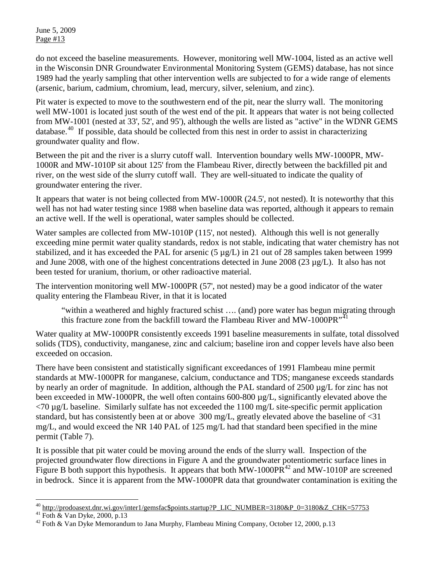do not exceed the baseline measurements. However, monitoring well MW-1004, listed as an active well in the Wisconsin DNR Groundwater Environmental Monitoring System (GEMS) database, has not since 1989 had the yearly sampling that other intervention wells are subjected to for a wide range of elements (arsenic, barium, cadmium, chromium, lead, mercury, silver, selenium, and zinc).

Pit water is expected to move to the southwestern end of the pit, near the slurry wall. The monitoring well MW-1001 is located just south of the west end of the pit. It appears that water is not being collected from MW-1001 (nested at 33', 52', and 95'), although the wells are listed as "active" in the WDNR GEMS database.<sup>[40](#page-12-0)</sup> If possible, data should be collected from this nest in order to assist in characterizing groundwater quality and flow.

Between the pit and the river is a slurry cutoff wall. Intervention boundary wells MW-1000PR, MW-1000R and MW-1010P sit about 125' from the Flambeau River, directly between the backfilled pit and river, on the west side of the slurry cutoff wall. They are well-situated to indicate the quality of groundwater entering the river.

It appears that water is not being collected from MW-1000R (24.5', not nested). It is noteworthy that this well has not had water testing since 1988 when baseline data was reported, although it appears to remain an active well. If the well is operational, water samples should be collected.

Water samples are collected from MW-1010P (115', not nested). Although this well is not generally exceeding mine permit water quality standards, redox is not stable, indicating that water chemistry has not stabilized, and it has exceeded the PAL for arsenic (5 µg/L) in 21 out of 28 samples taken between 1999 and June 2008, with one of the highest concentrations detected in June 2008 (23 µg/L). It also has not been tested for uranium, thorium, or other radioactive material.

The intervention monitoring well MW-1000PR (57', not nested) may be a good indicator of the water quality entering the Flambeau River, in that it is located

"within a weathered and highly fractured schist …. (and) pore water has begun migrating through this fracture zone from the backfill toward the Flambeau River and MW-1000PR<sup>"[41](#page-12-1)</sup>

Water quality at MW-1000PR consistently exceeds 1991 baseline measurements in sulfate, total dissolved solids (TDS), conductivity, manganese, zinc and calcium; baseline iron and copper levels have also been exceeded on occasion.

There have been consistent and statistically significant exceedances of 1991 Flambeau mine permit standards at MW-1000PR for manganese, calcium, conductance and TDS; manganese exceeds standards by nearly an order of magnitude. In addition, although the PAL standard of 2500 µg/L for zinc has not been exceeded in MW-1000PR, the well often contains 600-800  $\mu$ g/L, significantly elevated above the  $\langle 70 \,\mu g/L$  baseline. Similarly sulfate has not exceeded the 1100 mg/L site-specific permit application standard, but has consistently been at or above 300 mg/L, greatly elevated above the baseline of <31 mg/L, and would exceed the NR 140 PAL of 125 mg/L had that standard been specified in the mine permit (Table 7).

It is possible that pit water could be moving around the ends of the slurry wall. Inspection of the projected groundwater flow directions in Figure A and the groundwater potentiometric surface lines in Figure B both support this hypothesis. It appears that both  $MW-1000PR<sup>42</sup>$  $MW-1000PR<sup>42</sup>$  $MW-1000PR<sup>42</sup>$  and  $MW-1010P$  are screened in bedrock. Since it is apparent from the MW-1000PR data that groundwater contamination is exiting the

<span id="page-12-0"></span><sup>&</sup>lt;sup>40</sup> http://prodoasext.dnr.wi.gov/inter1/gemsfac\$points.startup?P\_LIC\_NUMBER=3180&P\_0=3180&Z\_CHK=57753<br><sup>41</sup> Foth & Van Dyke, 2000, p.13<br><sup>42</sup> Foth & Van Dyke Memorandum to Jana Murphy, Flambeau Mining Company, October 12, 2

<span id="page-12-1"></span>

<span id="page-12-2"></span>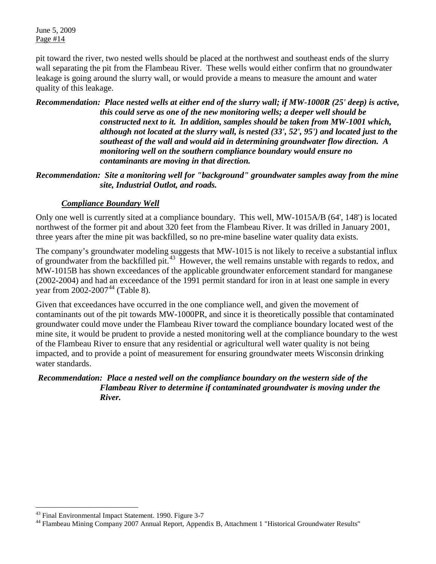pit toward the river, two nested wells should be placed at the northwest and southeast ends of the slurry wall separating the pit from the Flambeau River. These wells would either confirm that no groundwater leakage is going around the slurry wall, or would provide a means to measure the amount and water quality of this leakage.

*Recommendation: Place nested wells at either end of the slurry wall; if MW-1000R (25' deep) is active, this could serve as one of the new monitoring wells; a deeper well should be constructed next to it. In addition, samples should be taken from MW-1001 which, although not located at the slurry wall, is nested (33', 52', 95') and located just to the southeast of the wall and would aid in determining groundwater flow direction. A monitoring well on the southern compliance boundary would ensure no contaminants are moving in that direction.* 

*Recommendation: Site a monitoring well for "background" groundwater samples away from the mine site, Industrial Outlot, and roads.* 

#### *Compliance Boundary Well*

Only one well is currently sited at a compliance boundary. This well, MW-1015A/B (64', 148') is located northwest of the former pit and about 320 feet from the Flambeau River. It was drilled in January 2001, three years after the mine pit was backfilled, so no pre-mine baseline water quality data exists.

The company's groundwater modeling suggests that MW-1015 is not likely to receive a substantial influx of groundwater from the backfilled pit.[43](#page-13-0) However, the well remains unstable with regards to redox, and MW-1015B has shown exceedances of the applicable groundwater enforcement standard for manganese (2002-2004) and had an exceedance of the 1991 permit standard for iron in at least one sample in every year from 2002-2007<sup>[44](#page-13-1)</sup> (Table 8).

Given that exceedances have occurred in the one compliance well, and given the movement of contaminants out of the pit towards MW-1000PR, and since it is theoretically possible that contaminated groundwater could move under the Flambeau River toward the compliance boundary located west of the mine site, it would be prudent to provide a nested monitoring well at the compliance boundary to the west of the Flambeau River to ensure that any residential or agricultural well water quality is not being impacted, and to provide a point of measurement for ensuring groundwater meets Wisconsin drinking water standards.

#### *Recommendation: Place a nested well on the compliance boundary on the western side of the Flambeau River to determine if contaminated groundwater is moving under the River.*

<span id="page-13-0"></span><sup>&</sup>lt;sup>43</sup> Final Environmental Impact Statement. 1990. Figure 3-7

<span id="page-13-1"></span><sup>&</sup>lt;sup>44</sup> Flambeau Mining Company 2007 Annual Report, Appendix B, Attachment 1 "Historical Groundwater Results"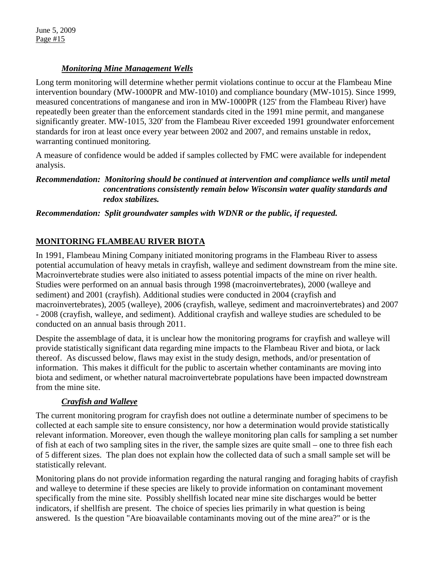## *Monitoring Mine Management Wells*

Long term monitoring will determine whether permit violations continue to occur at the Flambeau Mine intervention boundary (MW-1000PR and MW-1010) and compliance boundary (MW-1015). Since 1999, measured concentrations of manganese and iron in MW-1000PR (125' from the Flambeau River) have repeatedly been greater than the enforcement standards cited in the 1991 mine permit, and manganese significantly greater. MW-1015, 320' from the Flambeau River exceeded 1991 groundwater enforcement standards for iron at least once every year between 2002 and 2007, and remains unstable in redox, warranting continued monitoring.

A measure of confidence would be added if samples collected by FMC were available for independent analysis.

### *Recommendation: Monitoring should be continued at intervention and compliance wells until metal concentrations consistently remain below Wisconsin water quality standards and redox stabilizes.*

### *Recommendation: Split groundwater samples with WDNR or the public, if requested.*

## **MONITORING FLAMBEAU RIVER BIOTA**

In 1991, Flambeau Mining Company initiated monitoring programs in the Flambeau River to assess potential accumulation of heavy metals in crayfish, walleye and sediment downstream from the mine site. Macroinvertebrate studies were also initiated to assess potential impacts of the mine on river health. Studies were performed on an annual basis through 1998 (macroinvertebrates), 2000 (walleye and sediment) and 2001 (crayfish). Additional studies were conducted in 2004 (crayfish and macroinvertebrates), 2005 (walleye), 2006 (crayfish, walleye, sediment and macroinvertebrates) and 2007 - 2008 (crayfish, walleye, and sediment). Additional crayfish and walleye studies are scheduled to be conducted on an annual basis through 2011.

Despite the assemblage of data, it is unclear how the monitoring programs for crayfish and walleye will provide statistically significant data regarding mine impacts to the Flambeau River and biota, or lack thereof. As discussed below, flaws may exist in the study design, methods, and/or presentation of information. This makes it difficult for the public to ascertain whether contaminants are moving into biota and sediment, or whether natural macroinvertebrate populations have been impacted downstream from the mine site.

## *Crayfish and Walleye*

The current monitoring program for crayfish does not outline a determinate number of specimens to be collected at each sample site to ensure consistency, nor how a determination would provide statistically relevant information. Moreover, even though the walleye monitoring plan calls for sampling a set number of fish at each of two sampling sites in the river, the sample sizes are quite small – one to three fish each of 5 different sizes. The plan does not explain how the collected data of such a small sample set will be statistically relevant.

Monitoring plans do not provide information regarding the natural ranging and foraging habits of crayfish and walleye to determine if these species are likely to provide information on contaminant movement specifically from the mine site. Possibly shellfish located near mine site discharges would be better indicators, if shellfish are present. The choice of species lies primarily in what question is being answered. Is the question "Are bioavailable contaminants moving out of the mine area?" or is the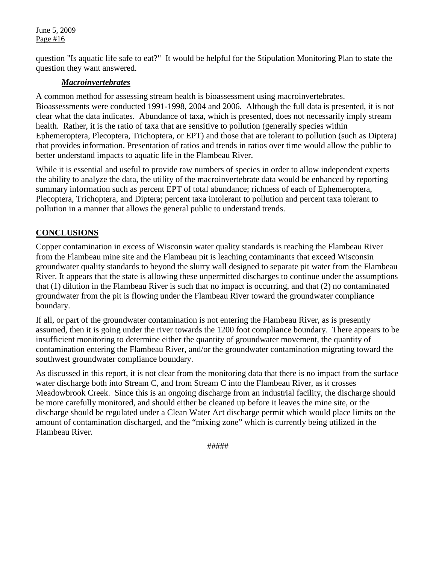question "Is aquatic life safe to eat?" It would be helpful for the Stipulation Monitoring Plan to state the question they want answered.

#### *Macroinvertebrates*

A common method for assessing stream health is bioassessment using macroinvertebrates. Bioassessments were conducted 1991-1998, 2004 and 2006. Although the full data is presented, it is not clear what the data indicates. Abundance of taxa, which is presented, does not necessarily imply stream health. Rather, it is the ratio of taxa that are sensitive to pollution (generally species within Ephemeroptera, Plecoptera, Trichoptera, or EPT) and those that are tolerant to pollution (such as Diptera) that provides information. Presentation of ratios and trends in ratios over time would allow the public to better understand impacts to aquatic life in the Flambeau River.

While it is essential and useful to provide raw numbers of species in order to allow independent experts the ability to analyze the data, the utility of the macroinvertebrate data would be enhanced by reporting summary information such as percent EPT of total abundance; richness of each of Ephemeroptera, Plecoptera, Trichoptera, and Diptera; percent taxa intolerant to pollution and percent taxa tolerant to pollution in a manner that allows the general public to understand trends.

### **CONCLUSIONS**

Copper contamination in excess of Wisconsin water quality standards is reaching the Flambeau River from the Flambeau mine site and the Flambeau pit is leaching contaminants that exceed Wisconsin groundwater quality standards to beyond the slurry wall designed to separate pit water from the Flambeau River. It appears that the state is allowing these unpermitted discharges to continue under the assumptions that (1) dilution in the Flambeau River is such that no impact is occurring, and that (2) no contaminated groundwater from the pit is flowing under the Flambeau River toward the groundwater compliance boundary.

If all, or part of the groundwater contamination is not entering the Flambeau River, as is presently assumed, then it is going under the river towards the 1200 foot compliance boundary. There appears to be insufficient monitoring to determine either the quantity of groundwater movement, the quantity of contamination entering the Flambeau River, and/or the groundwater contamination migrating toward the southwest groundwater compliance boundary.

As discussed in this report, it is not clear from the monitoring data that there is no impact from the surface water discharge both into Stream C, and from Stream C into the Flambeau River, as it crosses Meadowbrook Creek. Since this is an ongoing discharge from an industrial facility, the discharge should be more carefully monitored, and should either be cleaned up before it leaves the mine site, or the discharge should be regulated under a Clean Water Act discharge permit which would place limits on the amount of contamination discharged, and the "mixing zone" which is currently being utilized in the Flambeau River.

#####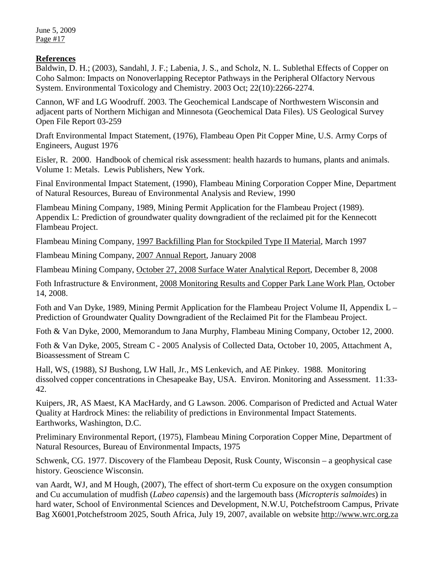#### **References**

Baldwin, D. H.; (2003), Sandahl, J. F.; Labenia, J. S., and Scholz, N. L. Sublethal Effects of Copper on Coho Salmon: Impacts on Nonoverlapping Receptor Pathways in the Peripheral Olfactory Nervous System. Environmental Toxicology and Chemistry. 2003 Oct; 22(10):2266-2274.

Cannon, WF and LG Woodruff. 2003. The Geochemical Landscape of Northwestern Wisconsin and adjacent parts of Northern Michigan and Minnesota (Geochemical Data Files). US Geological Survey Open File Report 03-259

Draft Environmental Impact Statement, (1976), Flambeau Open Pit Copper Mine, U.S. Army Corps of Engineers, August 1976

Eisler, R. 2000. Handbook of chemical risk assessment: health hazards to humans, plants and animals. Volume 1: Metals. Lewis Publishers, New York.

Final Environmental Impact Statement, (1990), Flambeau Mining Corporation Copper Mine, Department of Natural Resources, Bureau of Environmental Analysis and Review, 1990

Flambeau Mining Company, 1989, Mining Permit Application for the Flambeau Project (1989). Appendix L: Prediction of groundwater quality downgradient of the reclaimed pit for the Kennecott Flambeau Project.

Flambeau Mining Company, 1997 Backfilling Plan for Stockpiled Type II Material, March 1997

Flambeau Mining Company, 2007 Annual Report, January 2008

Flambeau Mining Company, October 27, 2008 Surface Water Analytical Report, December 8, 2008

Foth Infrastructure & Environment, 2008 Monitoring Results and Copper Park Lane Work Plan, October 14, 2008.

Foth and Van Dyke, 1989, Mining Permit Application for the Flambeau Project Volume II, Appendix L – Prediction of Groundwater Quality Downgradient of the Reclaimed Pit for the Flambeau Project.

Foth & Van Dyke, 2000, Memorandum to Jana Murphy, Flambeau Mining Company, October 12, 2000.

Foth & Van Dyke, 2005, Stream C - 2005 Analysis of Collected Data, October 10, 2005, Attachment A, Bioassessment of Stream C

Hall, WS, (1988), SJ Bushong, LW Hall, Jr., MS Lenkevich, and AE Pinkey. 1988. Monitoring dissolved copper concentrations in Chesapeake Bay, USA. Environ. Monitoring and Assessment. 11:33- 42.

Kuipers, JR, AS Maest, KA MacHardy, and G Lawson. 2006. Comparison of Predicted and Actual Water Quality at Hardrock Mines: the reliability of predictions in Environmental Impact Statements. Earthworks, Washington, D.C.

Preliminary Environmental Report, (1975), Flambeau Mining Corporation Copper Mine, Department of Natural Resources, Bureau of Environmental Impacts, 1975

Schwenk, CG. 1977. Discovery of the Flambeau Deposit, Rusk County, Wisconsin – a geophysical case history. Geoscience Wisconsin.

van Aardt, WJ, and M Hough, (2007), The effect of short-term Cu exposure on the oxygen consumption and Cu accumulation of mudfish (*Labeo capensis*) and the largemouth bass (*Micropteris salmoides*) in hard water, School of Environmental Sciences and Development, N.W.U, Potchefstroom Campus, Private Bag X6001,Potchefstroom 2025, South Africa, July 19, 2007, available on website [http://www.wrc.org.za](http://www.wrc.org.za/)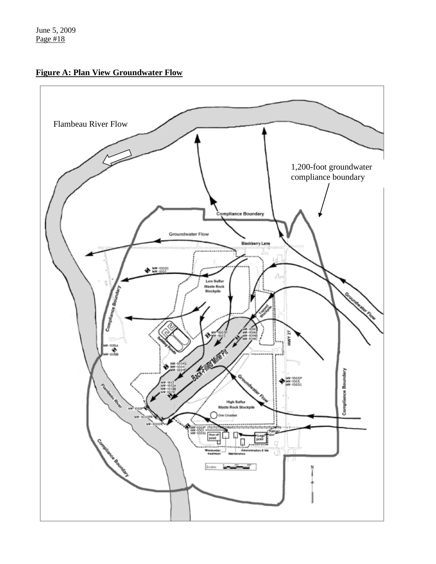**Figure A: Plan View Groundwater Flow**

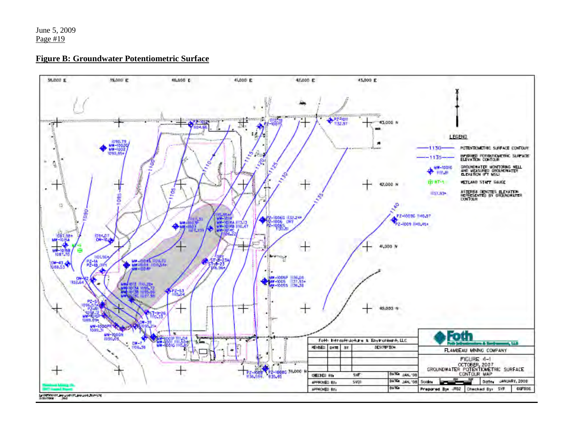#### **Figure B: Groundwater Potentiometric Surface**

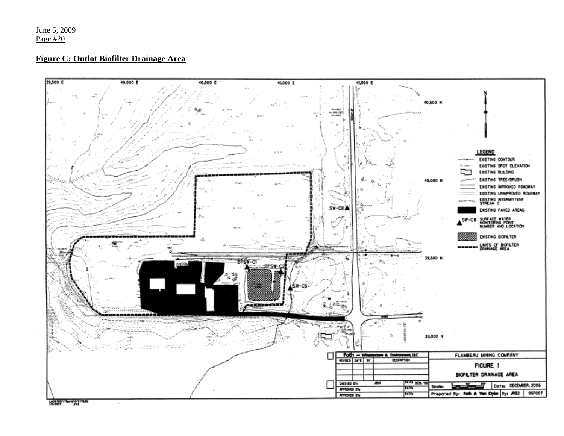#### **Figure C: Outlot Biofilter Drainage Area**



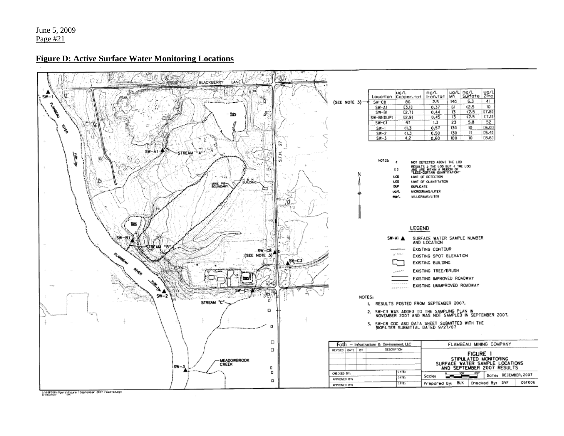#### **Figure D: Active Surface Water Monitoring Locations**



LivesF006\ffgure\Figure 1 September 2007 results2.cgn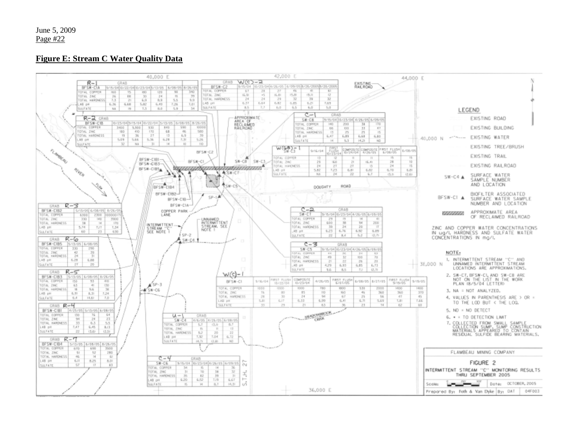#### **Figure E: Stream C Water Quality Data**

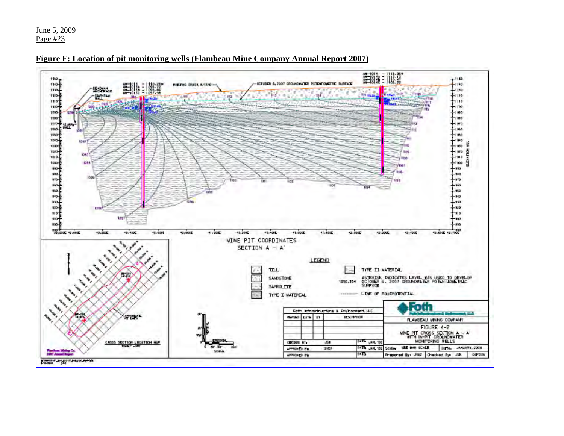**翻糖 : 職職**  $T^{1150}$  $rac{1950}{1145}$ OCTOBER 6, 2007 GROUNDWATER POTENTIONETRIC SURFACE ENETHIC CRADE EVISYON -1140 **SECTION**  $1130 -$ -1150 **US as a** 1189-CANDIFICAN  $-1100$ -1110  $110 -$ **PLAND** 1199- $-1196$ 1993  $1000$ 1090-1080 1970- $1010$ **SUPP** 1060-1960  $100 - 7$ 1990  $1040 +$  $-1040$ 1392 -rate 57  $1000 +$  $rest 1000 -$ **REVAILS** 10937 ·mo튼 ares.  $1000 -$ **Idea**  $1000 ...$ **CHE** пē. un E 980 1096 410- $170$  $180 -$ 501 950 150-950 910-940 450-950 120--120  $110 -$ -910 tau  $500 -100$  $-120 - 120$ 550 953-2002 43-000E 42.600 42.700 45,2000 40-400-15.400 43,6000 41,008 41,200 41,4000 41,600 41,660  $47.000$ 42.2006 42,4004 **WINE PIT COORDINATES** SECTION A - A' **LEGEND** TILL. TYPE II MATERIAL ASTERISK INDICATES LEVEL WAS USED TO DEVELOP<br>OCTOBER 6, 2007 GROUNDWATER POTENTIQUETICE<br>SUPPAGE SANDSTONE 1096.364 SAPROLITE ------- LIVE OF EQUIPOTENTIAL TYPE I WATERIAL Foth Foth Infrastructure & Environment, LLC ŢH. 经调整 NEWSED DATE BY DESCRIPTION FLAVEEAU WHING COVPANY FIGURE 4-2 WHE PIT CROSS SECTION A - A'<br>WITH IN-PIT CROUNDWATER<br>WONTORING WELLS **JATE JAN, '08** CROSS SECTION LOCATION HAP CHECKED BY: 12E Date: JANUARY, 2006  $108.6 F - 100$ SATE: JAN. '08. Scoles SEE BAR SCALE APPROVED BYL **SVD!** *Pandone Mining Co.*<br>2007 Annual Report SCALE. APPROVED BY MБ Propored By: JRS2 Checked Bye JSK 06F006

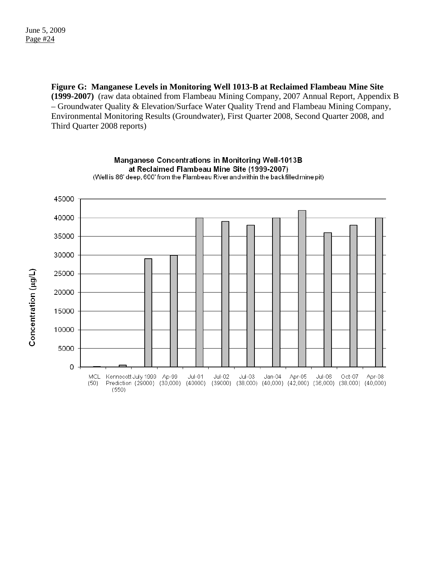**Figure G: Manganese Levels in Monitoring Well 1013-B at Reclaimed Flambeau Mine Site (1999-2007)** (raw data obtained from Flambeau Mining Company, 2007 Annual Report, Appendix B – Groundwater Quality & Elevation/Surface Water Quality Trend and Flambeau Mining Company, Environmental Monitoring Results (Groundwater), First Quarter 2008, Second Quarter 2008, and Third Quarter 2008 reports)



Manganese Concentrations in Monitoring Well-1013B at Reclaimed Flambeau Mine Site (1999-2007) (Well is 86' deep, 600' from the Flambeau River and within the back filled mine pit)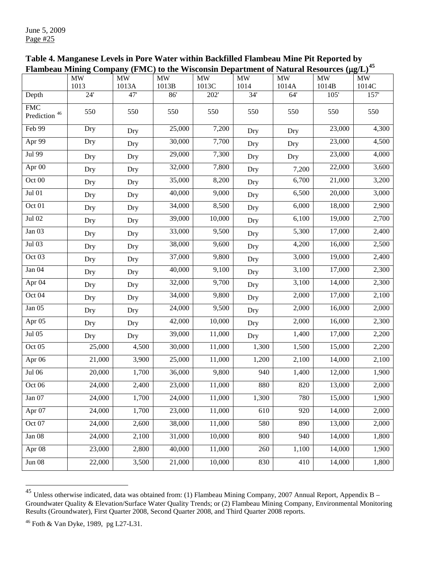| Table 4. Manganese Levels in Pore Water within Backfilled Flambeau Mine Pit Reported by                   |  |
|-----------------------------------------------------------------------------------------------------------|--|
| Flambeau Mining Company (FMC) to the Wisconsin Department of Natural Resources ( $\mu$ g/L) <sup>45</sup> |  |

|                                    | Plambeau Mining Company (PMC) to the Wisconsin Department of Natural Kesources (µg/L) |           |        |           |                 |                                 |           |           |
|------------------------------------|---------------------------------------------------------------------------------------|-----------|--------|-----------|-----------------|---------------------------------|-----------|-----------|
|                                    | <b>MW</b>                                                                             | <b>MW</b> | MW     | <b>MW</b> | $\overline{M}W$ | $\ensuremath{\text{MW}}\xspace$ | <b>MW</b> | <b>MW</b> |
|                                    | 1013                                                                                  | 1013A     | 1013B  | 1013C     | 1014            | 1014A                           | 1014B     | 1014C     |
| Depth                              | 24'                                                                                   | 47'       | 86'    | 202'      | $\overline{34}$ | 64'                             | $105'$    | 157'      |
| <b>FMC</b><br>Prediction $^{46}\,$ | 550                                                                                   | 550       | 550    | 550       | 550             | 550                             | 550       | 550       |
| Feb 99                             | Dry                                                                                   | Dry       | 25,000 | 7,200     | Dry             | Dry                             | 23,000    | 4,300     |
| Apr 99                             | Dry                                                                                   | Dry       | 30,000 | 7,700     | Dry             | Dry                             | 23,000    | 4,500     |
| Jul 99                             | Dry                                                                                   | Dry       | 29,000 | 7,300     | Dry             | Dry                             | 23,000    | 4,000     |
| Apr 00                             | Dry                                                                                   | Dry       | 32,000 | 7,800     | Dry             | 7,200                           | 22,000    | 3,600     |
| Oct 00                             | Dry                                                                                   | Dry       | 35,000 | 8,200     | Dry             | 6,700                           | 21,000    | 3,200     |
| Jul 01                             | Dry                                                                                   | Dry       | 40,000 | 9,000     | Dry             | 6,500                           | 20,000    | 3,000     |
| Oct 01                             | Dry                                                                                   | Dry       | 34,000 | 8,500     | Dry             | 6,000                           | 18,000    | 2,900     |
| Jul 02                             | Dry                                                                                   | Dry       | 39,000 | 10,000    | Dry             | 6,100                           | 19,000    | 2,700     |
| Jan 03                             | Dry                                                                                   | Dry       | 33,000 | 9,500     | Dry             | 5,300                           | 17,000    | 2,400     |
| Jul 03                             | Dry                                                                                   | Dry       | 38,000 | 9,600     | Dry             | 4,200                           | 16,000    | 2,500     |
| Oct 03                             | Dry                                                                                   | Dry       | 37,000 | 9,800     | Dry             | $\overline{3,000}$              | 19,000    | 2,400     |
| Jan 04                             | Dry                                                                                   | Dry       | 40,000 | 9,100     | Dry             | 3,100                           | 17,000    | 2,300     |
| Apr 04                             | Dry                                                                                   | Dry       | 32,000 | 9,700     | Dry             | 3,100                           | 14,000    | 2,300     |
| Oct 04                             | Dry                                                                                   | Dry       | 34,000 | 9,800     | Dry             | 2,000                           | 17,000    | 2,100     |
| Jan 05                             | Dry                                                                                   | Dry       | 24,000 | 9,500     | Dry             | 2,000                           | 16,000    | 2,000     |
| Apr 05                             | Dry                                                                                   | Dry       | 42,000 | 10,000    | Dry             | 2,000                           | 16,000    | 2,300     |
| Jul 05                             | Dry                                                                                   | Dry       | 39,000 | 11,000    | Dry             | 1,400                           | 17,000    | 2,200     |
| Oct 05                             | 25,000                                                                                | 4,500     | 30,000 | 11,000    | 1,300           | 1,500                           | 15,000    | 2,200     |
| Apr 06                             | 21,000                                                                                | 3,900     | 25,000 | 11,000    | 1,200           | 2,100                           | 14,000    | 2,100     |
| Jul 06                             | 20,000                                                                                | 1,700     | 36,000 | 9,800     | 940             | 1,400                           | 12,000    | 1,900     |
| Oct 06                             | 24,000                                                                                | 2,400     | 23,000 | 11,000    | 880             | $\overline{820}$                | 13,000    | 2,000     |
| Jan 07                             | 24,000                                                                                | 1,700     | 24,000 | 11,000    | 1,300           | 780                             | 15,000    | 1,900     |
| Apr 07                             | 24,000                                                                                | 1,700     | 23,000 | 11,000    | 610             | 920                             | 14,000    | 2,000     |
| Oct 07                             | 24,000                                                                                | 2,600     | 38,000 | 11,000    | 580             | 890                             | 13,000    | 2,000     |
| Jan $08$                           | 24,000                                                                                | 2,100     | 31,000 | 10,000    | 800             | 940                             | 14,000    | 1,800     |
| Apr 08                             | 23,000                                                                                | 2,800     | 40,000 | 11,000    | 260             | 1,100                           | 14,000    | 1,900     |
| Jun $08$                           | 22,000                                                                                | 3,500     | 21,000 | 10,000    | 830             | 410                             | 14,000    | 1,800     |

<span id="page-24-0"></span> $^{45}$  Unless otherwise indicated, data was obtained from: (1) Flambeau Mining Company, 2007 Annual Report, Appendix B – Groundwater Quality & Elevation/Surface Water Quality Trends; or (2) Flambeau Mining Company, Environmental Monitoring Results (Groundwater), First Quarter 2008, Second Quarter 2008, and Third Quarter 2008 reports.

 $\overline{a}$ 

<span id="page-24-1"></span><sup>46</sup> Foth & Van Dyke, 1989, pg L27-L31.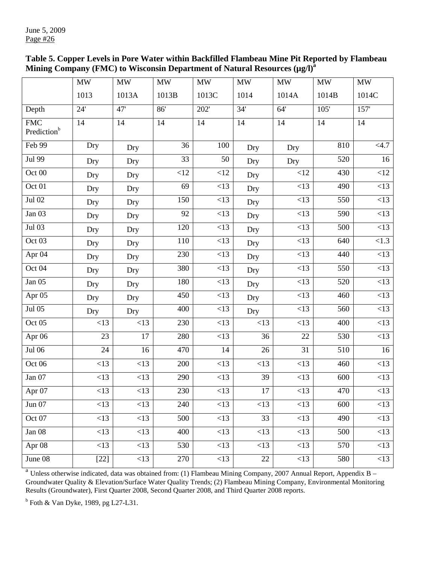| Table 5. Copper Levels in Pore Water within Backfilled Flambeau Mine Pit Reported by Flambeau |
|-----------------------------------------------------------------------------------------------|
| Mining Company (FMC) to Wisconsin Department of Natural Resources (µg/l) <sup>a</sup>         |

|                                       | <b>MW</b> | $\ensuremath{\text{MW}}\xspace$ | <b>MW</b> | MW    | MW   | <b>MW</b>        | MW    | MW               |
|---------------------------------------|-----------|---------------------------------|-----------|-------|------|------------------|-------|------------------|
|                                       | 1013      | 1013A                           | 1013B     | 1013C | 1014 | 1014A            | 1014B | 1014C            |
| Depth                                 | 24'       | 47'                             | 86'       | 202'  | 34'  | 64'              | 105'  | 157'             |
| <b>FMC</b><br>Prediction <sup>b</sup> | 14        | 14                              | 14        | 14    | 14   | 14               | 14    | 14               |
| Feb 99                                | Dry       | Dry                             | 36        | 100   | Dry  | Dry              | 810   | <4.7             |
| Jul 99                                | Dry       | Dry                             | 33        | 50    | Dry  | Dry              | 520   | 16               |
| Oct 00                                | Dry       | Dry                             | <12       | <12   | Dry  | <12              | 430   | <12              |
| Oct 01                                | Dry       | Dry                             | 69        | <13   | Dry  | <13              | 490   | <13              |
| Jul 02                                | Dry       | Dry                             | 150       | <13   | Dry  | <13              | 550   | $\overline{<}13$ |
| Jan 03                                | Dry       | Dry                             | 92        | <13   | Dry  | <13              | 590   | <13              |
| Jul 03                                | Dry       | Dry                             | 120       | <13   | Dry  | $\overline{<}13$ | 500   | $\overline{<}13$ |
| Oct <sub>03</sub>                     | Dry       | Dry                             | 110       | <13   | Dry  | <13              | 640   | < 1.3            |
| Apr <sub>04</sub>                     | Dry       | Dry                             | 230       | <13   | Dry  | <13              | 440   | <13              |
| Oct 04                                | Dry       | Dry                             | 380       | <13   | Dry  | <13              | 550   | <13              |
| Jan $05$                              | Dry       | Dry                             | 180       | <13   | Dry  | <13              | 520   | <13              |
| Apr 05                                | Dry       | Dry                             | 450       | <13   | Dry  | <13              | 460   | $\leq$ 13        |
| Jul 05                                | Dry       | Dry                             | 400       | <13   | Dry  | <13              | 560   | <13              |
| Oct 05                                | <13       | <13                             | 230       | <13   | <13  | <13              | 400   | <13              |
| Apr 06                                | 23        | 17                              | 280       | <13   | 36   | 22               | 530   | <13              |
| Jul 06                                | 24        | 16                              | 470       | 14    | 26   | $\overline{31}$  | 510   | 16               |
| Oct 06                                | <13       | <13                             | 200       | <13   | <13  | <13              | 460   | <13              |
| Jan 07                                | <13       | <13                             | 290       | <13   | 39   | <13              | 600   | <13              |
| Apr $07\,$                            | <13       | <13                             | 230       | <13   | 17   | <13              | 470   | <13              |
| Jun 07                                | <13       | <13                             | 240       | <13   | <13  | <13              | 600   | <13              |
| Oct 07                                | <13       | <13                             | 500       | <13   | 33   | <13              | 490   | <13              |
| Jan 08                                | <13       | <13                             | 400       | <13   | <13  | <13              | 500   | <13              |
| Apr 08                                | <13       | <13                             | 530       | <13   | <13  | <13              | 570   | <13              |
| June 08                               | $[22]$    | <13                             | 270       | <13   | 22   | <13              | 580   | <13              |

 $a<sup>a</sup>$  Unless otherwise indicated, data was obtained from: (1) Flambeau Mining Company, 2007 Annual Report, Appendix B – Groundwater Quality & Elevation/Surface Water Quality Trends; (2) Flambeau Mining Company, Environmental Monitoring Results (Groundwater), First Quarter 2008, Second Quarter 2008, and Third Quarter 2008 reports.

 $<sup>b</sup>$  Foth & Van Dyke, 1989, pg L27-L31.</sup>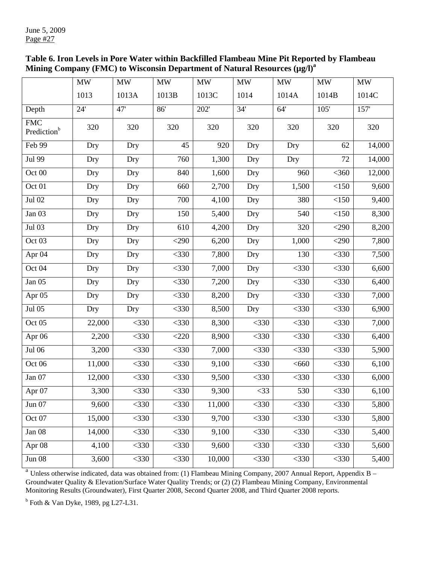| Table 6. Iron Levels in Pore Water within Backfilled Flambeau Mine Pit Reported by Flambeau |
|---------------------------------------------------------------------------------------------|
| Mining Company (FMC) to Wisconsin Department of Natural Resources (µg/l) <sup>a</sup>       |

|                                       | MW     | MW      | MW      | $\text{MW}{}$ | MW      | $\text{MW}{}$ | <b>MW</b> | $\mathbf{M}\mathbf{W}$ |
|---------------------------------------|--------|---------|---------|---------------|---------|---------------|-----------|------------------------|
|                                       | 1013   | 1013A   | 1013B   | 1013C         | 1014    | 1014A         | 1014B     | 1014C                  |
| Depth                                 | 24'    | 47'     | 86'     | 202'          | 34'     | 64'           | 105'      | 157'                   |
| <b>FMC</b><br>Prediction <sup>b</sup> | 320    | 320     | 320     | 320           | 320     | 320           | 320       | 320                    |
| Feb 99                                | Dry    | Dry     | 45      | 920           | Dry     | Dry           | 62        | 14,000                 |
| Jul 99                                | Dry    | Dry     | 760     | 1,300         | Dry     | Dry           | 72        | 14,000                 |
| Oct 00                                | Dry    | Dry     | 840     | 1,600         | Dry     | 960           | $<$ 360   | 12,000                 |
| Oct 01                                | Dry    | Dry     | 660     | 2,700         | Dry     | 1,500         | <150      | 9,600                  |
| Jul 02                                | Dry    | Dry     | 700     | 4,100         | Dry     | 380           | $<150$    | 9,400                  |
| Jan 03                                | Dry    | Dry     | 150     | 5,400         | Dry     | 540           | $<150$    | 8,300                  |
| Jul 03                                | Dry    | Dry     | 610     | 4,200         | Dry     | 320           | $<$ 290   | 8,200                  |
| Oct 03                                | Dry    | Dry     | $<$ 290 | 6,200         | Dry     | 1,000         | $<$ 290   | 7,800                  |
| Apr <sub>04</sub>                     | Dry    | Dry     | $<$ 330 | 7,800         | Dry     | 130           | $<$ 330   | 7,500                  |
| Oct 04                                | Dry    | Dry     | $<$ 330 | 7,000         | Dry     | $<$ 330       | $<$ 330   | 6,600                  |
| Jan 05                                | Dry    | Dry     | $<$ 330 | 7,200         | Dry     | $<$ 330       | $<$ 330   | 6,400                  |
| Apr 05                                | Dry    | Dry     | $<$ 330 | 8,200         | Dry     | $<$ 330       | $<$ 330   | 7,000                  |
| Jul 05                                | Dry    | Dry     | $<$ 330 | 8,500         | Dry     | $<$ 330       | $<$ 330   | 6,900                  |
| Oct 05                                | 22,000 | $<$ 330 | $<$ 330 | 8,300         | $<$ 330 | $<$ 330       | $<$ 330   | 7,000                  |
| Apr 06                                | 2,200  | $<$ 330 | $<$ 220 | 8,900         | $<$ 330 | $<$ 330       | $<$ 330   | 6,400                  |
| Jul 06                                | 3,200  | $<$ 330 | $<$ 330 | 7,000         | $<$ 330 | $<$ 330       | $<$ 330   | 5,900                  |
| Oct 06                                | 11,000 | $<$ 330 | $<$ 330 | 9,100         | $<$ 330 | < 660         | $<$ 330   | 6,100                  |
| Jan 07                                | 12,000 | $<$ 330 | $<$ 330 | 9,500         | $<$ 330 | $<$ 330       | $<$ 330   | 6,000                  |
| Apr 07                                | 3,300  | $<$ 330 | $<$ 330 | 9,300         | $<$ 33  | 530           | $<$ 330   | 6,100                  |
| Jun 07                                | 9,600  | $<$ 330 | $<$ 330 | 11,000        | $<$ 330 | $<$ 330       | $<$ 330   | 5,800                  |
| Oct 07                                | 15,000 | $<$ 330 | $<$ 330 | 9,700         | $<$ 330 | $<$ 330       | $<$ 330   | 5,800                  |
| Jan 08                                | 14,000 | $<$ 330 | $<$ 330 | 9,100         | $<$ 330 | $<$ 330       | $<$ 330   | 5,400                  |
| Apr 08                                | 4,100  | $<$ 330 | $<$ 330 | 9,600         | $<$ 330 | $<$ 330       | $<$ 330   | 5,600                  |
| <b>Jun 08</b>                         | 3,600  | $<$ 330 | $<$ 330 | 10,000        | $<$ 330 | $<$ 330       | $<$ 330   | 5,400                  |

 $a<sup>a</sup>$  Unless otherwise indicated, data was obtained from: (1) Flambeau Mining Company, 2007 Annual Report, Appendix B – Groundwater Quality & Elevation/Surface Water Quality Trends; or (2) (2) Flambeau Mining Company, Environmental Monitoring Results (Groundwater), First Quarter 2008, Second Quarter 2008, and Third Quarter 2008 reports.

 $<sup>b</sup>$  Foth & Van Dyke, 1989, pg L27-L31.</sup>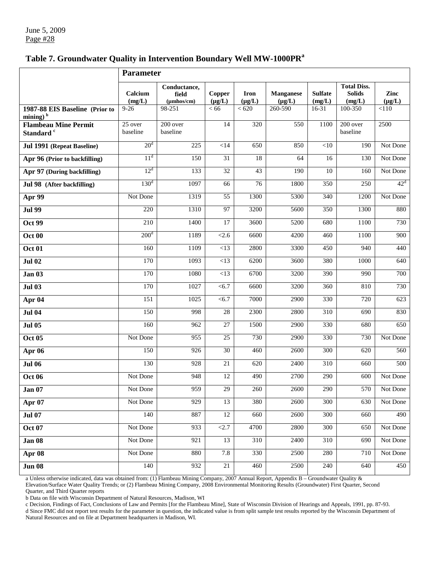## Table 7. Groundwater Quality in Intervention Boundary Well MW-1000PR<sup>a</sup>

|                                                      | Parameter             |                                                  |                       |                            |                                 |                          |                                               |                     |
|------------------------------------------------------|-----------------------|--------------------------------------------------|-----------------------|----------------------------|---------------------------------|--------------------------|-----------------------------------------------|---------------------|
|                                                      | Calcium<br>(mg/L)     | Conductance,<br>field<br>$(\mu m \text{hos/cm})$ | Copper<br>$(\mu g/L)$ | <b>Iron</b><br>$(\mu g/L)$ | <b>Manganese</b><br>$(\mu g/L)$ | <b>Sulfate</b><br>(mg/L) | <b>Total Diss.</b><br><b>Solids</b><br>(mg/L) | Zinc<br>$(\mu g/L)$ |
| 1987-88 EIS Baseline (Prior to<br>mining) $b$        | $9 - 26$              | $\overline{98-251}$                              | < 66                  | < 620                      | 260-590                         | 16-31                    | 100-350                                       | < 110               |
| <b>Flambeau Mine Permit</b><br>Standard <sup>c</sup> | $25$ over<br>baseline | 200 over<br>baseline                             | 14                    | 320                        | 550                             | 1100                     | 200 over<br>baseline                          | 2500                |
| Jul 1991 (Repeat Baseline)                           | 20 <sup>d</sup>       | 225                                              | $<$ 14                | 650                        | 850                             | <10                      | 190                                           | Not Done            |
| Apr 96 (Prior to backfilling)                        | 11 <sup>d</sup>       | 150                                              | 31                    | 18                         | 64                              | 16                       | 130                                           | Not Done            |
| Apr 97 (During backfilling)                          | $12^d$                | 133                                              | 32                    | 43                         | 190                             | 10                       | 160                                           | Not Done            |
| Jul 98 (After backfilling)                           | 130 <sup>d</sup>      | 1097                                             | 66                    | 76                         | 1800                            | 350                      | 250                                           | $42^d$              |
| Apr 99                                               | Not Done              | 1319                                             | 55                    | 1300                       | 5300                            | 340                      | 1200                                          | Not Done            |
| <b>Jul 99</b>                                        | 220                   | 1310                                             | 97                    | 3200                       | 5600                            | 350                      | 1300                                          | 880                 |
| <b>Oct 99</b>                                        | 210                   | 1400                                             | 17                    | 3600                       | 5200                            | 680                      | 1100                                          | 730                 |
| Oct 00                                               | 200 <sup>d</sup>      | 1189                                             | < 2.6                 | 6600                       | 4200                            | 460                      | 1100                                          | 900                 |
| <b>Oct 01</b>                                        | 160                   | 1109                                             | <13                   | 2800                       | 3300                            | 450                      | 940                                           | 440                 |
| <b>Jul 02</b>                                        | 170                   | 1093                                             | <13                   | 6200                       | 3600                            | 380                      | 1000                                          | 640                 |
| <b>Jan 03</b>                                        | 170                   | 1080                                             | <13                   | 6700                       | 3200                            | 390                      | 990                                           | 700                 |
| <b>Jul 03</b>                                        | 170                   | 1027                                             | < 6.7                 | 6600                       | 3200                            | 360                      | 810                                           | 730                 |
| Apr 04                                               | 151                   | 1025                                             | < 6.7                 | 7000                       | 2900                            | 330                      | 720                                           | 623                 |
| <b>Jul 04</b>                                        | 150                   | 998                                              | 28                    | 2300                       | 2800                            | 310                      | 690                                           | 830                 |
| <b>Jul 05</b>                                        | 160                   | 962                                              | 27                    | $\overline{1500}$          | 2900                            | 330                      | 680                                           | 650                 |
| <b>Oct 05</b>                                        | Not Done              | 955                                              | 25                    | 730                        | 2900                            | 330                      | 730                                           | Not Done            |
| Apr 06                                               | 150                   | 926                                              | 30                    | 460                        | 2600                            | 300                      | 620                                           | 560                 |
| <b>Jul 06</b>                                        | 130                   | 928                                              | 21                    | 620                        | 2400                            | 310                      | 660                                           | 500                 |
| <b>Oct 06</b>                                        | Not Done              | 948                                              | 12                    | 490                        | 2700                            | 290                      | 600                                           | Not Done            |
| <b>Jan 07</b>                                        | Not Done              | 959                                              | 29                    | 260                        | 2600                            | 290                      | 570                                           | Not Done            |
| Apr 07                                               | Not Done              | 929                                              | 13                    | 380                        | 2600                            | 300                      | 630                                           | Not Done            |
| <b>Jul 07</b>                                        | 140                   | 887                                              | 12                    | 660                        | 2600                            | 300                      | 660                                           | 490                 |
| <b>Oct 07</b>                                        | Not Done              | 933                                              | <2.7                  | 4700                       | 2800                            | 300                      | 650                                           | Not Done            |
| Jan 08                                               | Not Done              | $\overline{921}$                                 | 13                    | $\overline{310}$           | 2400                            | 310                      | 690                                           | Not Done            |
| Apr 08                                               | Not Done              | 880                                              | 7.8                   | 330                        | 2500                            | 280                      | 710                                           | Not Done            |
| <b>Jun 08</b>                                        | 140                   | 932                                              | $21\,$                | $\overline{460}$           | 2500                            | 240                      | 640                                           | 450                 |

a Unless otherwise indicated, data was obtained from: (1) Flambeau Mining Company, 2007 Annual Report, Appendix B – Groundwater Quality &

Elevation/Surface Water Quality Trends; or (2) Flambeau Mining Company, 2008 Environmental Monitoring Results (Groundwater) First Quarter, Second Quarter, and Third Quarter reports

b Data on file with Wisconsin Department of Natural Resources, Madison, WI

c Decision, Findings of Fact, Conclusions of Law and Permits [for the Flambeau Mine], State of Wisconsin Division of Hearings and Appeals, 1991, pp. 87-93. d Since FMC did not report test results for the parameter in question, the indicated value is from split sample test results reported by the Wisconsin Department of Natural Resources and on file at Department headquarters in Madison, WI.